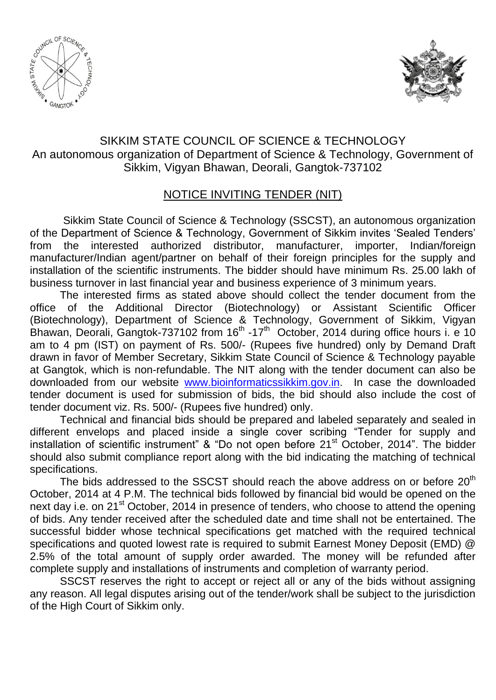



### SIKKIM STATE COUNCIL OF SCIENCE & TECHNOLOGY An autonomous organization of Department of Science & Technology, Government of Sikkim, Vigyan Bhawan, Deorali, Gangtok-737102

#### NOTICE INVITING TENDER (NIT)

Sikkim State Council of Science & Technology (SSCST), an autonomous organization of the Department of Science & Technology, Government of Sikkim invites "Sealed Tenders" from the interested authorized distributor, manufacturer, importer, Indian/foreign manufacturer/Indian agent/partner on behalf of their foreign principles for the supply and installation of the scientific instruments. The bidder should have minimum Rs. 25.00 lakh of business turnover in last financial year and business experience of 3 minimum years.

The interested firms as stated above should collect the tender document from the office of the Additional Director (Biotechnology) or Assistant Scientific Officer (Biotechnology), Department of Science & Technology, Government of Sikkim, Vigyan Bhawan, Deorali, Gangtok-737102 from  $16<sup>th</sup>$  -17<sup>th</sup> October, 2014 during office hours i. e 10 am to 4 pm (IST) on payment of Rs. 500/- (Rupees five hundred) only by Demand Draft drawn in favor of Member Secretary, Sikkim State Council of Science & Technology payable at Gangtok, which is non-refundable. The NIT along with the tender document can also be downloaded from our website [www.bioinformaticssikkim.gov.in.](http://www.bioinformaticssikkim.gov.in/) In case the downloaded tender document is used for submission of bids, the bid should also include the cost of tender document viz. Rs. 500/- (Rupees five hundred) only.

Technical and financial bids should be prepared and labeled separately and sealed in different envelops and placed inside a single cover scribing "Tender for supply and installation of scientific instrument" & "Do not open before  $21<sup>st</sup>$  October, 2014". The bidder should also submit compliance report along with the bid indicating the matching of technical specifications.

The bids addressed to the SSCST should reach the above address on or before  $20<sup>th</sup>$ October, 2014 at 4 P.M. The technical bids followed by financial bid would be opened on the next day i.e. on 21<sup>st</sup> October, 2014 in presence of tenders, who choose to attend the opening of bids. Any tender received after the scheduled date and time shall not be entertained. The successful bidder whose technical specifications get matched with the required technical specifications and quoted lowest rate is required to submit Earnest Money Deposit (EMD) @ 2.5% of the total amount of supply order awarded. The money will be refunded after complete supply and installations of instruments and completion of warranty period.

SSCST reserves the right to accept or reject all or any of the bids without assigning any reason. All legal disputes arising out of the tender/work shall be subject to the jurisdiction of the High Court of Sikkim only.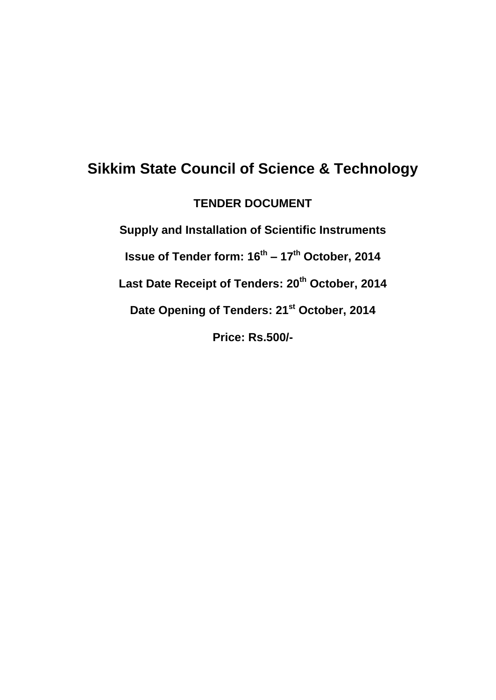### **Sikkim State Council of Science & Technology**

**TENDER DOCUMENT**

**Supply and Installation of Scientific Instruments Issue of Tender form: 16th – 17th October, 2014 Last Date Receipt of Tenders: 20th October, 2014 Date Opening of Tenders: 21st October, 2014 Price: Rs.500/-**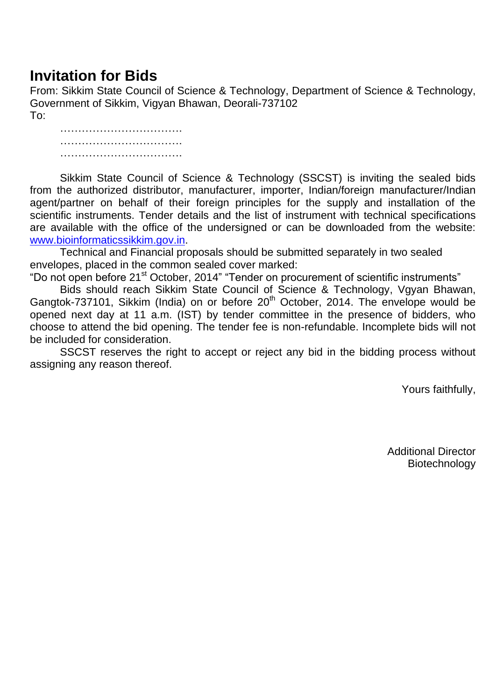# **Invitation for Bids**

From: Sikkim State Council of Science & Technology, Department of Science & Technology, Government of Sikkim, Vigyan Bhawan, Deorali-737102 To:

…………………………………………… ………………………………………  $\mathcal{L}_{\mathcal{M}}$  . The contract of the contract of the contract of the contract of the contract of the contract of

Sikkim State Council of Science & Technology (SSCST) is inviting the sealed bids from the authorized distributor, manufacturer, importer, Indian/foreign manufacturer/Indian agent/partner on behalf of their foreign principles for the supply and installation of the scientific instruments. Tender details and the list of instrument with technical specifications are available with the office of the undersigned or can be downloaded from the website: [www.bioinformaticssikkim.gov.in.](http://www.bioinformaticssikkim.gov.in/)

Technical and Financial proposals should be submitted separately in two sealed envelopes, placed in the common sealed cover marked:

"Do not open before 21<sup>st</sup> October, 2014" "Tender on procurement of scientific instruments"

Bids should reach Sikkim State Council of Science & Technology, Vgyan Bhawan, Gangtok-737101, Sikkim (India) on or before 20<sup>th</sup> October, 2014. The envelope would be opened next day at 11 a.m. (IST) by tender committee in the presence of bidders, who choose to attend the bid opening. The tender fee is non-refundable. Incomplete bids will not be included for consideration.

SSCST reserves the right to accept or reject any bid in the bidding process without assigning any reason thereof.

Yours faithfully,

Additional Director Biotechnology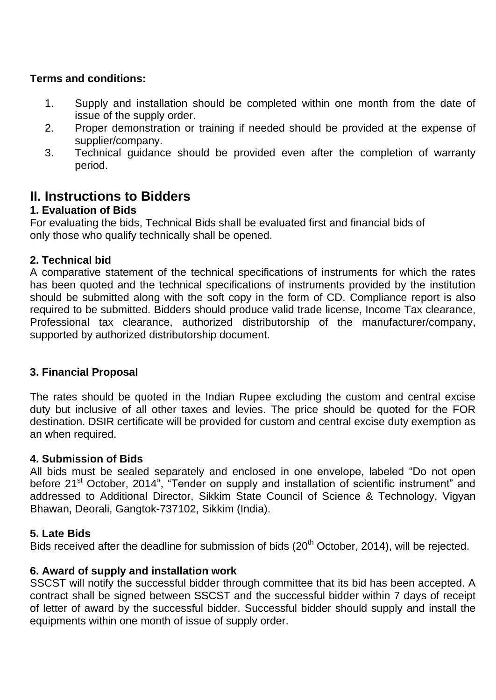#### **Terms and conditions:**

- 1. Supply and installation should be completed within one month from the date of issue of the supply order.
- 2. Proper demonstration or training if needed should be provided at the expense of supplier/company.
- 3. Technical guidance should be provided even after the completion of warranty period.

### **II. Instructions to Bidders**

#### **1. Evaluation of Bids**

For evaluating the bids, Technical Bids shall be evaluated first and financial bids of only those who qualify technically shall be opened.

#### **2. Technical bid**

A comparative statement of the technical specifications of instruments for which the rates has been quoted and the technical specifications of instruments provided by the institution should be submitted along with the soft copy in the form of CD. Compliance report is also required to be submitted. Bidders should produce valid trade license, Income Tax clearance, Professional tax clearance, authorized distributorship of the manufacturer/company, supported by authorized distributorship document.

#### **3. Financial Proposal**

The rates should be quoted in the Indian Rupee excluding the custom and central excise duty but inclusive of all other taxes and levies. The price should be quoted for the FOR destination. DSIR certificate will be provided for custom and central excise duty exemption as an when required.

#### **4. Submission of Bids**

All bids must be sealed separately and enclosed in one envelope, labeled "Do not open before 21<sup>st</sup> October, 2014", "Tender on supply and installation of scientific instrument" and addressed to Additional Director, Sikkim State Council of Science & Technology, Vigyan Bhawan, Deorali, Gangtok-737102, Sikkim (India).

#### **5. Late Bids**

Bids received after the deadline for submission of bids (20<sup>th</sup> October, 2014), will be rejected.

#### **6. Award of supply and installation work**

SSCST will notify the successful bidder through committee that its bid has been accepted. A contract shall be signed between SSCST and the successful bidder within 7 days of receipt of letter of award by the successful bidder. Successful bidder should supply and install the equipments within one month of issue of supply order.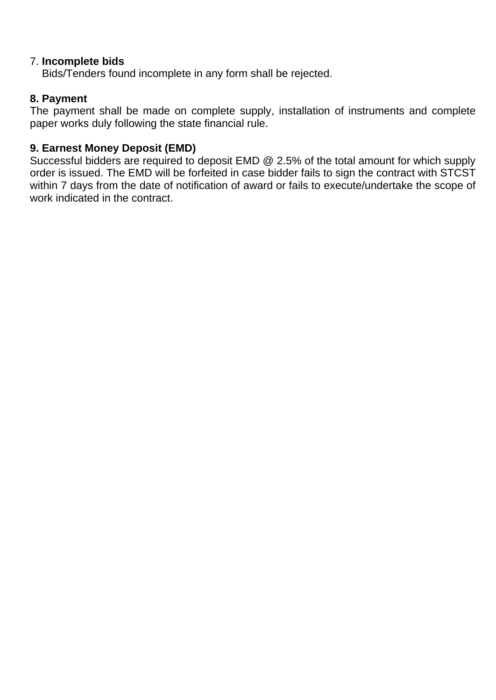#### 7. **Incomplete bids**

Bids/Tenders found incomplete in any form shall be rejected.

#### **8. Payment**

The payment shall be made on complete supply, installation of instruments and complete paper works duly following the state financial rule.

#### **9. Earnest Money Deposit (EMD)**

Successful bidders are required to deposit EMD @ 2.5% of the total amount for which supply order is issued. The EMD will be forfeited in case bidder fails to sign the contract with STCST within 7 days from the date of notification of award or fails to execute/undertake the scope of work indicated in the contract.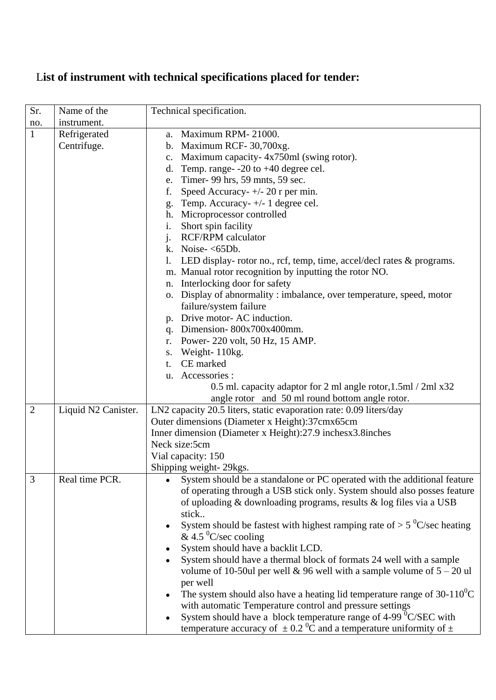## L**ist of instrument with technical specifications placed for tender:**

| Sr.            | Name of the         | Technical specification.                                                                  |  |  |
|----------------|---------------------|-------------------------------------------------------------------------------------------|--|--|
| no.            | instrument.         |                                                                                           |  |  |
| $\mathbf{1}$   | Refrigerated        | a. Maximum RPM-21000.                                                                     |  |  |
|                | Centrifuge.         | b. Maximum RCF- $30,700xg$ .                                                              |  |  |
|                |                     | c. Maximum capacity-4x750ml (swing rotor).                                                |  |  |
|                |                     | d. Temp. range- $-20$ to $+40$ degree cel.                                                |  |  |
|                |                     | e. Timer- 99 hrs, 59 mnts, 59 sec.                                                        |  |  |
|                |                     | Speed Accuracy- $+/- 20$ r per min.<br>f.                                                 |  |  |
|                |                     | Temp. Accuracy-+/- 1 degree cel.<br>g.                                                    |  |  |
|                |                     | h. Microprocessor controlled                                                              |  |  |
|                |                     | Short spin facility<br>i.                                                                 |  |  |
|                |                     | j. RCF/RPM calculator                                                                     |  |  |
|                |                     | k. Noise- $<$ 65Db.                                                                       |  |  |
|                |                     | 1. LED display-rotor no., rcf, temp, time, accel/decl rates & programs.                   |  |  |
|                |                     | m. Manual rotor recognition by inputting the rotor NO.                                    |  |  |
|                |                     | n. Interlocking door for safety                                                           |  |  |
|                |                     | o. Display of abnormality : imbalance, over temperature, speed, motor                     |  |  |
|                |                     | failure/system failure                                                                    |  |  |
|                |                     | p. Drive motor-AC induction.                                                              |  |  |
|                |                     | q. Dimension- $800x700x400$ mm.                                                           |  |  |
|                |                     | r. Power-220 volt, 50 Hz, 15 AMP.                                                         |  |  |
|                |                     | s. Weight-110kg.                                                                          |  |  |
|                |                     | CE marked<br>t.                                                                           |  |  |
|                |                     | u. Accessories :                                                                          |  |  |
|                |                     | 0.5 ml. capacity adaptor for 2 ml angle rotor, 1.5 ml / 2 ml x 32                         |  |  |
|                |                     | angle rotor and 50 ml round bottom angle rotor.                                           |  |  |
| $\overline{2}$ | Liquid N2 Canister. | LN2 capacity 20.5 liters, static evaporation rate: 0.09 liters/day                        |  |  |
|                |                     | Outer dimensions (Diameter x Height):37cmx65cm                                            |  |  |
|                |                     | Inner dimension (Diameter x Height):27.9 inchesx3.8inches                                 |  |  |
|                |                     | Neck size:5cm                                                                             |  |  |
|                |                     | Vial capacity: 150                                                                        |  |  |
|                |                     | Shipping weight- 29kgs.                                                                   |  |  |
| 3              | Real time PCR.      | System should be a standalone or PC operated with the additional feature                  |  |  |
|                |                     | of operating through a USB stick only. System should also posses feature                  |  |  |
|                |                     | of uploading & downloading programs, results & log files via a USB                        |  |  |
|                |                     | stick                                                                                     |  |  |
|                |                     | System should be fastest with highest ramping rate of $> 5$ °C/sec heating                |  |  |
|                |                     | & 4.5 $\mathrm{^0C}/\mathrm{sec}$ cooling                                                 |  |  |
|                |                     | System should have a backlit LCD.<br>$\bullet$                                            |  |  |
|                |                     | System should have a thermal block of formats 24 well with a sample<br>$\bullet$          |  |  |
|                |                     | volume of 10-50ul per well & 96 well with a sample volume of $5 - 20$ ul                  |  |  |
|                |                     | per well                                                                                  |  |  |
|                |                     | The system should also have a heating lid temperature range of $30-110^0C$<br>$\bullet$   |  |  |
|                |                     | with automatic Temperature control and pressure settings                                  |  |  |
|                |                     | System should have a block temperature range of 4-99 <sup>0</sup> C/SEC with<br>$\bullet$ |  |  |
|                |                     | temperature accuracy of $\pm$ 0.2 <sup>0</sup> C and a temperature uniformity of $\pm$    |  |  |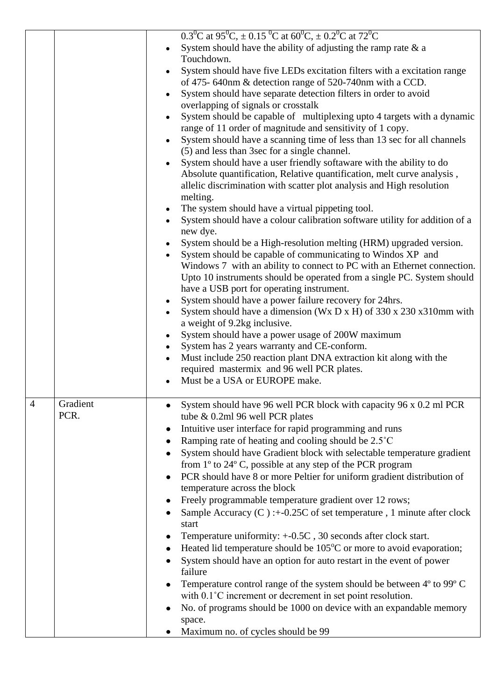|                |          | 0.3 <sup>o</sup> C at 95 <sup>o</sup> C, $\pm$ 0.15 <sup>o</sup> C at 60 <sup>o</sup> C, $\pm$ 0.2 <sup>o</sup> C at 72 <sup>o</sup> C |
|----------------|----------|----------------------------------------------------------------------------------------------------------------------------------------|
|                |          | System should have the ability of adjusting the ramp rate $\&$ a                                                                       |
|                |          | Touchdown.                                                                                                                             |
|                |          | System should have five LEDs excitation filters with a excitation range<br>$\bullet$                                                   |
|                |          | of 475-640nm & detection range of 520-740nm with a CCD.                                                                                |
|                |          | System should have separate detection filters in order to avoid<br>$\bullet$                                                           |
|                |          | overlapping of signals or crosstalk                                                                                                    |
|                |          | System should be capable of multiplexing upto 4 targets with a dynamic<br>$\bullet$                                                    |
|                |          | range of 11 order of magnitude and sensitivity of 1 copy.                                                                              |
|                |          |                                                                                                                                        |
|                |          | System should have a scanning time of less than 13 sec for all channels<br>$\bullet$                                                   |
|                |          | (5) and less than 3 sec for a single channel.                                                                                          |
|                |          | System should have a user friendly softaware with the ability to do<br>$\bullet$                                                       |
|                |          | Absolute quantification, Relative quantification, melt curve analysis,                                                                 |
|                |          | allelic discrimination with scatter plot analysis and High resolution                                                                  |
|                |          | melting.                                                                                                                               |
|                |          | The system should have a virtual pippeting tool.<br>٠                                                                                  |
|                |          | System should have a colour calibration software utility for addition of a                                                             |
|                |          | new dye.                                                                                                                               |
|                |          | System should be a High-resolution melting (HRM) upgraded version.                                                                     |
|                |          | System should be capable of communicating to Windos XP and<br>$\bullet$                                                                |
|                |          | Windows 7 with an ability to connect to PC with an Ethernet connection.                                                                |
|                |          | Upto 10 instruments should be operated from a single PC. System should                                                                 |
|                |          | have a USB port for operating instrument.                                                                                              |
|                |          | System should have a power failure recovery for 24hrs.<br>٠                                                                            |
|                |          | System should have a dimension (Wx D x H) of 330 x 230 x310mm with<br>$\bullet$                                                        |
|                |          | a weight of 9.2kg inclusive.                                                                                                           |
|                |          | System should have a power usage of 200W maximum<br>٠                                                                                  |
|                |          | System has 2 years warranty and CE-conform.                                                                                            |
|                |          | Must include 250 reaction plant DNA extraction kit along with the                                                                      |
|                |          | required mastermix and 96 well PCR plates.                                                                                             |
|                |          | Must be a USA or EUROPE make.                                                                                                          |
|                |          |                                                                                                                                        |
| $\overline{4}$ | Gradient | System should have 96 well PCR block with capacity 96 x 0.2 ml PCR                                                                     |
|                | PCR.     | tube & 0.2ml 96 well PCR plates                                                                                                        |
|                |          | Intuitive user interface for rapid programming and runs<br>$\bullet$                                                                   |
|                |          | Ramping rate of heating and cooling should be 2.5°C<br>$\bullet$                                                                       |
|                |          | System should have Gradient block with selectable temperature gradient                                                                 |
|                |          | $\bullet$                                                                                                                              |
|                |          | from 1° to 24° C, possible at any step of the PCR program                                                                              |
|                |          | PCR should have 8 or more Peltier for uniform gradient distribution of<br>$\bullet$                                                    |
|                |          | temperature across the block                                                                                                           |
|                |          | Freely programmable temperature gradient over 12 rows;<br>٠                                                                            |
|                |          | Sample Accuracy (C): $+0.25C$ of set temperature, 1 minute after clock                                                                 |
|                |          | start                                                                                                                                  |
|                |          | Temperature uniformity: +-0.5C, 30 seconds after clock start.<br>$\bullet$                                                             |
|                |          | Heated lid temperature should be $105^{\circ}$ C or more to avoid evaporation;<br>$\bullet$                                            |
|                |          | System should have an option for auto restart in the event of power                                                                    |
|                |          | failure                                                                                                                                |
|                |          | Temperature control range of the system should be between 4° to 99° C                                                                  |
|                |          | with $0.1^{\circ}$ C increment or decrement in set point resolution.                                                                   |
|                |          | No. of programs should be 1000 on device with an expandable memory                                                                     |
|                |          | space.                                                                                                                                 |
|                |          | Maximum no. of cycles should be 99                                                                                                     |
|                |          |                                                                                                                                        |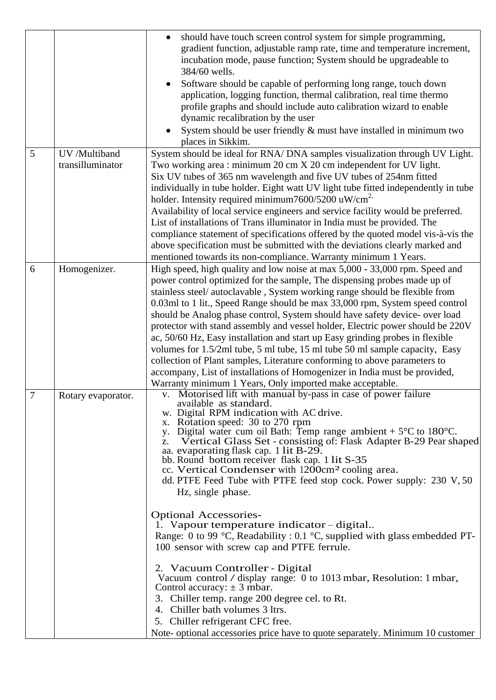|                  |                    | should have touch screen control system for simple programming,<br>gradient function, adjustable ramp rate, time and temperature increment,<br>incubation mode, pause function; System should be upgradeable to<br>384/60 wells.<br>Software should be capable of performing long range, touch down<br>$\bullet$<br>application, logging function, thermal calibration, real time thermo<br>profile graphs and should include auto calibration wizard to enable<br>dynamic recalibration by the user<br>System should be user friendly & must have installed in minimum two<br>places in Sikkim.                                                                                                                                                                                                                                                                                                                                                                                                                                                                                                                                                                          |
|------------------|--------------------|---------------------------------------------------------------------------------------------------------------------------------------------------------------------------------------------------------------------------------------------------------------------------------------------------------------------------------------------------------------------------------------------------------------------------------------------------------------------------------------------------------------------------------------------------------------------------------------------------------------------------------------------------------------------------------------------------------------------------------------------------------------------------------------------------------------------------------------------------------------------------------------------------------------------------------------------------------------------------------------------------------------------------------------------------------------------------------------------------------------------------------------------------------------------------|
| 5                | UV /Multiband      | System should be ideal for RNA/DNA samples visualization through UV Light.                                                                                                                                                                                                                                                                                                                                                                                                                                                                                                                                                                                                                                                                                                                                                                                                                                                                                                                                                                                                                                                                                                |
|                  | transilluminator   | Two working area: minimum 20 cm X 20 cm independent for UV light.<br>Six UV tubes of 365 nm wavelength and five UV tubes of 254nm fitted<br>individually in tube holder. Eight watt UV light tube fitted independently in tube<br>holder. Intensity required minimum $7600/5200$ uW/cm <sup>2,</sup><br>Availability of local service engineers and service facility would be preferred.<br>List of installations of Trans illuminator in India must be provided. The<br>compliance statement of specifications offered by the quoted model vis-à-vis the<br>above specification must be submitted with the deviations clearly marked and<br>mentioned towards its non-compliance. Warranty minimum 1 Years.                                                                                                                                                                                                                                                                                                                                                                                                                                                              |
| 6                | Homogenizer.       | High speed, high quality and low noise at max 5,000 - 33,000 rpm. Speed and<br>power control optimized for the sample, The dispensing probes made up of<br>stainless steel/ autoclavable, System working range should be flexible from<br>0.03ml to 1 lit., Speed Range should be max 33,000 rpm, System speed control<br>should be Analog phase control, System should have safety device- over load<br>protector with stand assembly and vessel holder, Electric power should be 220V<br>ac, 50/60 Hz, Easy installation and start up Easy grinding probes in flexible<br>volumes for 1.5/2ml tube, 5 ml tube, 15 ml tube 50 ml sample capacity, Easy<br>collection of Plant samples, Literature conforming to above parameters to<br>accompany, List of installations of Homogenizer in India must be provided,<br>Warranty minimum 1 Years, Only imported make acceptable.                                                                                                                                                                                                                                                                                            |
| $\boldsymbol{7}$ | Rotary evaporator. | v. Motorised lift with manual by-pass in case of power failure<br>available as standard.<br>w. Digital RPM indication with AC drive.<br>x. Rotation speed: 30 to 270 rpm<br>y. Digital water cum oil Bath: Temp range ambient $+5^{\circ}$ C to 180 <sup>°</sup> C.<br>Vertical Glass Set - consisting of: Flask Adapter B-29 Pear shaped<br>z.<br>aa. evaporating flask cap. 1 lit B-29.<br>bb. Round bottom receiver flask cap. 1 lit S-35<br>cc. Vertical Condenser with 1200cm <sup>2</sup> cooling area.<br>dd. PTFE Feed Tube with PTFE feed stop cock. Power supply: 230 V, 50<br>Hz, single phase.<br><b>Optional Accessories-</b><br>1. Vapour temperature indicator – digital<br>Range: 0 to 99 °C, Readability : 0.1 °C, supplied with glass embedded PT-<br>100 sensor with screw cap and PTFE ferrule.<br>2. Vacuum Controller - Digital<br>Vacuum control / display range: 0 to 1013 mbar, Resolution: 1 mbar,<br>Control accuracy: $\pm$ 3 mbar.<br>3. Chiller temp. range 200 degree cel. to Rt.<br>4. Chiller bath volumes 3 ltrs.<br>5. Chiller refrigerant CFC free.<br>Note- optional accessories price have to quote separately. Minimum 10 customer |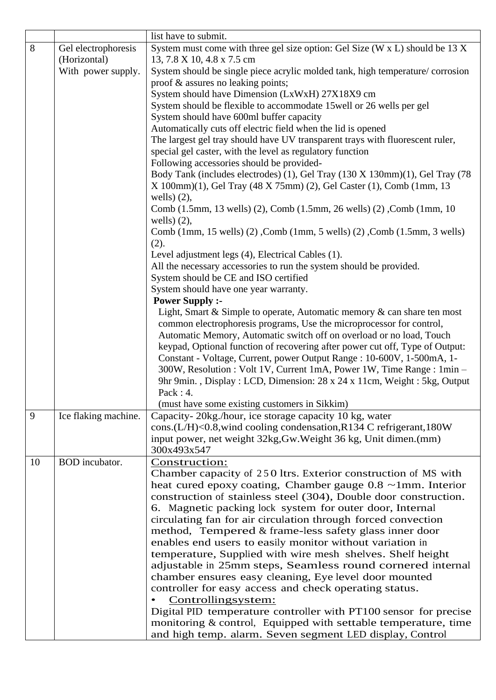|    |                                     | list have to submit.                                                                                                                                 |  |
|----|-------------------------------------|------------------------------------------------------------------------------------------------------------------------------------------------------|--|
| 8  | Gel electrophoresis<br>(Horizontal) | System must come with three gel size option: Gel Size (W x L) should be 13 X<br>13, 7.8 X 10, 4.8 x 7.5 cm                                           |  |
|    | With power supply.                  | System should be single piece acrylic molded tank, high temperature/corrosion<br>proof & assures no leaking points;                                  |  |
|    |                                     | System should have Dimension (LxWxH) 27X18X9 cm                                                                                                      |  |
|    |                                     | System should be flexible to accommodate 15 well or 26 wells per gel                                                                                 |  |
|    |                                     | System should have 600ml buffer capacity                                                                                                             |  |
|    |                                     | Automatically cuts off electric field when the lid is opened                                                                                         |  |
|    |                                     | The largest gel tray should have UV transparent trays with fluorescent ruler,                                                                        |  |
|    |                                     | special gel caster, with the level as regulatory function                                                                                            |  |
|    |                                     | Following accessories should be provided-                                                                                                            |  |
|    |                                     | Body Tank (includes electrodes) (1), Gel Tray (130 X 130mm)(1), Gel Tray (78<br>X 100mm)(1), Gel Tray (48 X 75mm) (2), Gel Caster (1), Comb (1mm, 13 |  |
|    |                                     | wells) $(2)$ ,<br>Comb (1.5mm, 13 wells) (2), Comb (1.5mm, 26 wells) (2), Comb (1mm, 10<br>wells) $(2)$ ,                                            |  |
|    |                                     | Comb (1mm, 15 wells) (2), Comb (1mm, 5 wells) (2), Comb (1.5mm, 3 wells)<br>(2).                                                                     |  |
|    |                                     | Level adjustment legs (4), Electrical Cables (1).                                                                                                    |  |
|    |                                     | All the necessary accessories to run the system should be provided.                                                                                  |  |
|    |                                     | System should be CE and ISO certified                                                                                                                |  |
|    |                                     | System should have one year warranty.                                                                                                                |  |
|    |                                     | <b>Power Supply :-</b>                                                                                                                               |  |
|    |                                     | Light, Smart & Simple to operate, Automatic memory $\&$ can share ten most                                                                           |  |
|    |                                     | common electrophoresis programs, Use the microprocessor for control,<br>Automatic Memory, Automatic switch off on overload or no load, Touch         |  |
|    |                                     | keypad, Optional function of recovering after power cut off, Type of Output:                                                                         |  |
|    |                                     | Constant - Voltage, Current, power Output Range : 10-600V, 1-500mA, 1-                                                                               |  |
|    |                                     | 300W, Resolution : Volt 1V, Current 1mA, Power 1W, Time Range : 1min -                                                                               |  |
|    |                                     | 9hr 9min., Display: LCD, Dimension: 28 x 24 x 11cm, Weight: 5kg, Output                                                                              |  |
|    |                                     | Pack: $4$ .                                                                                                                                          |  |
|    |                                     | (must have some existing customers in Sikkim)                                                                                                        |  |
| 9  | Ice flaking machine.                | Capacity-20kg./hour, ice storage capacity 10 kg, water                                                                                               |  |
|    |                                     | cons.(L/H)<0.8, wind cooling condensation, R134 C refrigerant, 180W                                                                                  |  |
|    |                                     | input power, net weight 32kg, Gw. Weight 36 kg, Unit dimen. (mm)                                                                                     |  |
|    |                                     | 300x493x547                                                                                                                                          |  |
| 10 | <b>BOD</b> incubator.               | Construction:                                                                                                                                        |  |
|    |                                     | Chamber capacity of 250 ltrs. Exterior construction of MS with                                                                                       |  |
|    |                                     | heat cured epoxy coating, Chamber gauge $0.8 \sim 1$ mm. Interior<br>construction of stainless steel (304), Double door construction.                |  |
|    |                                     | 6. Magnetic packing lock system for outer door, Internal                                                                                             |  |
|    |                                     | circulating fan for air circulation through forced convection                                                                                        |  |
|    |                                     | method, Tempered & frame-less safety glass inner door                                                                                                |  |
|    |                                     | enables end users to easily monitor without variation in                                                                                             |  |
|    |                                     | temperature, Supplied with wire mesh shelves. Shelf height                                                                                           |  |
|    |                                     | adjustable in 25mm steps, Seamless round cornered internal                                                                                           |  |
|    |                                     | chamber ensures easy cleaning, Eye level door mounted                                                                                                |  |
|    |                                     | controller for easy access and check operating status.                                                                                               |  |
|    |                                     | Controllingsystem:                                                                                                                                   |  |
|    |                                     | Digital PID temperature controller with PT100 sensor for precise                                                                                     |  |
|    |                                     | monitoring & control, Equipped with settable temperature, time                                                                                       |  |
|    |                                     | and high temp. alarm. Seven segment LED display, Control                                                                                             |  |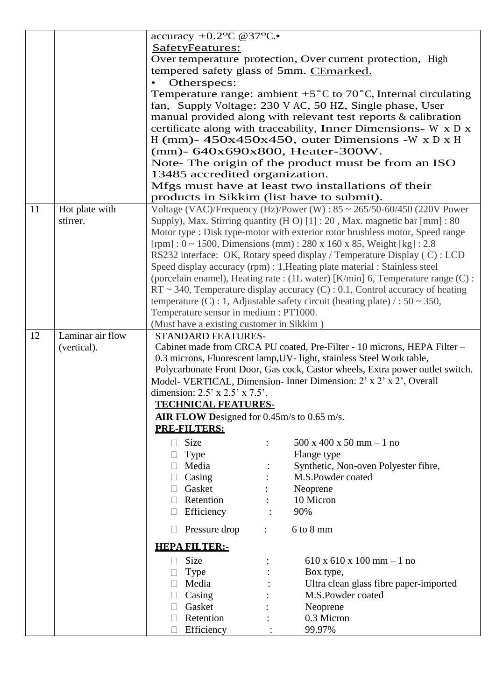|    |                  | accuracy $\pm 0.2$ <sup>o</sup> C @37 <sup>o</sup> C.                                           |  |  |
|----|------------------|-------------------------------------------------------------------------------------------------|--|--|
|    |                  | SafetyFeatures:                                                                                 |  |  |
|    |                  | Over temperature protection, Over current protection, High                                      |  |  |
|    |                  | tempered safety glass of 5mm. CEmarked.                                                         |  |  |
|    |                  | Otherspecs:                                                                                     |  |  |
|    |                  | Temperature range: ambient $+5^{\circ}$ C to 70 <sup>°</sup> C, Internal circulating            |  |  |
|    |                  | fan, Supply Voltage: 230 V AC, 50 HZ, Single phase, User                                        |  |  |
|    |                  | manual provided along with relevant test reports & calibration                                  |  |  |
|    |                  | certificate along with traceability, Inner Dimensions- W x D x                                  |  |  |
|    |                  | H (mm)- $450x450x450$ , outer Dimensions -W x D x H                                             |  |  |
|    |                  | (mm)- 640x690x800, Heater-300W.                                                                 |  |  |
|    |                  | Note- The origin of the product must be from an ISO                                             |  |  |
|    |                  | 13485 accredited organization.                                                                  |  |  |
|    |                  |                                                                                                 |  |  |
|    |                  | Mfgs must have at least two installations of their<br>products in Sikkim (list have to submit). |  |  |
| 11 | Hot plate with   | Voltage (VAC)/Frequency (Hz)/Power (W) : $85 \sim 265/50 - 60/450$ (220V Power                  |  |  |
|    | stirrer.         | Supply), Max. Stirring quantity (H O) [1] : 20, Max. magnetic bar [mm] : 80                     |  |  |
|    |                  | Motor type : Disk type-motor with exterior rotor brushless motor, Speed range                   |  |  |
|    |                  | [rpm]: $0 \sim 1500$ , Dimensions (mm): 280 x 160 x 85, Weight [kg]: 2.8                        |  |  |
|    |                  | RS232 interface: OK, Rotary speed display / Temperature Display (C) : LCD                       |  |  |
|    |                  | Speed display accuracy (rpm) : 1, Heating plate material : Stainless steel                      |  |  |
|    |                  | (porcelain enamel), Heating rate : (1L water) [K/min] 6, Temperature range (C) :                |  |  |
|    |                  | $RT \sim 340$ , Temperature display accuracy (C) : 0.1, Control accuracy of heating             |  |  |
|    |                  | temperature (C) : 1, Adjustable safety circuit (heating plate) / : $50 \sim 350$ ,              |  |  |
|    |                  | Temperature sensor in medium : PT1000.                                                          |  |  |
|    |                  | (Must have a existing customer in Sikkim)                                                       |  |  |
| 12 | Laminar air flow | STANDARD FEATURES-                                                                              |  |  |
|    | (vertical).      | Cabinet made from CRCA PU coated, Pre-Filter - 10 microns, HEPA Filter -                        |  |  |
|    |                  | 0.3 microns, Fluorescent lamp, UV- light, stainless Steel Work table,                           |  |  |
|    |                  | Polycarbonate Front Door, Gas cock, Castor wheels, Extra power outlet switch.                   |  |  |
|    |                  | Model- VERTICAL, Dimension- Inner Dimension: 2' x 2' x 2', Overall                              |  |  |
|    |                  | dimension: $2.5' \times 2.5' \times 7.5'$ .                                                     |  |  |
|    |                  | <b>TECHNICAL FEATURES-</b>                                                                      |  |  |
|    |                  | AIR FLOW Designed for $0.45$ m/s to $0.65$ m/s.                                                 |  |  |
|    |                  | <b>PRE-FILTERS:</b>                                                                             |  |  |
|    |                  | Size<br>$500 \times 400 \times 50 \text{ mm} - 1 \text{ no}$<br>П                               |  |  |
|    |                  | Flange type<br>Type                                                                             |  |  |
|    |                  | Synthetic, Non-oven Polyester fibre,<br>Media                                                   |  |  |
|    |                  | M.S.Powder coated<br>Casing                                                                     |  |  |
|    |                  | Gasket                                                                                          |  |  |
|    |                  | Neoprene                                                                                        |  |  |
|    |                  |                                                                                                 |  |  |
|    |                  | Retention<br>10 Micron                                                                          |  |  |
|    |                  | Efficiency<br>90%                                                                               |  |  |
|    |                  | 6 to 8 mm<br>Pressure drop<br>$\ddot{\phantom{a}}$                                              |  |  |
|    |                  | <b>HEPA FILTER:-</b>                                                                            |  |  |
|    |                  | <b>Size</b><br>$610 \times 610 \times 100$ mm $-1$ no<br>$\Box$                                 |  |  |
|    |                  | Box type,<br><b>Type</b><br>$\Box$                                                              |  |  |
|    |                  | Media<br>Ultra clean glass fibre paper-imported                                                 |  |  |
|    |                  | M.S.Powder coated<br>Casing                                                                     |  |  |
|    |                  | Gasket<br>Neoprene                                                                              |  |  |
|    |                  | 0.3 Micron<br>Retention<br>Efficiency<br>99.97%                                                 |  |  |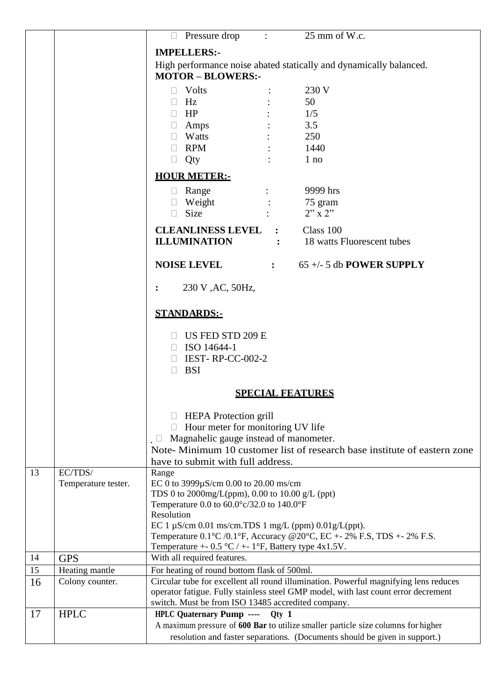|    |                     |                                                                                                                                                                            | $\Box$ Pressure drop : 25 mm of W.c.                                                 |  |
|----|---------------------|----------------------------------------------------------------------------------------------------------------------------------------------------------------------------|--------------------------------------------------------------------------------------|--|
|    |                     |                                                                                                                                                                            |                                                                                      |  |
|    |                     | <b>IMPELLERS:-</b>                                                                                                                                                         |                                                                                      |  |
|    |                     | High performance noise abated statically and dynamically balanced.<br><b>MOTOR-BLOWERS:-</b>                                                                               |                                                                                      |  |
|    |                     | $\Box$ Volts                                                                                                                                                               | 230 V                                                                                |  |
|    |                     | $\Box$ Hz                                                                                                                                                                  | 50                                                                                   |  |
|    |                     | $\Box$ HP                                                                                                                                                                  | 1/5                                                                                  |  |
|    |                     | $\Box$ Amps                                                                                                                                                                | 3.5                                                                                  |  |
|    |                     | $\Box$ Watts                                                                                                                                                               | 250                                                                                  |  |
|    |                     | $\Box$ RPM                                                                                                                                                                 | 1440                                                                                 |  |
|    |                     | $\Box$ Qty                                                                                                                                                                 | 1 no                                                                                 |  |
|    |                     | <b>HOUR METER:-</b>                                                                                                                                                        |                                                                                      |  |
|    |                     | $\Box$ Range                                                                                                                                                               | 9999 hrs                                                                             |  |
|    |                     | $\Box$ Weight                                                                                                                                                              | 75 gram                                                                              |  |
|    |                     | $\Box$ Size                                                                                                                                                                | $2"$ x 2"                                                                            |  |
|    |                     |                                                                                                                                                                            |                                                                                      |  |
|    |                     | <b>CLEANLINESS LEVEL : Class 100</b>                                                                                                                                       |                                                                                      |  |
|    |                     | <b>ILLUMINATION</b>                                                                                                                                                        | : 18 watts Fluorescent tubes                                                         |  |
|    |                     |                                                                                                                                                                            | <b>NOISE LEVEL</b> $65 +/- 5$ db <b>POWER SUPPLY</b>                                 |  |
|    |                     | 230 V, AC, 50Hz,                                                                                                                                                           |                                                                                      |  |
|    |                     | <b>STANDARDS:-</b>                                                                                                                                                         |                                                                                      |  |
|    |                     | US FED STD 209 E                                                                                                                                                           |                                                                                      |  |
|    |                     | $\Box$ ISO 14644-1                                                                                                                                                         |                                                                                      |  |
|    |                     | $\Box$ IEST-RP-CC-002-2<br><b>BSI</b><br>$\Box$                                                                                                                            |                                                                                      |  |
|    |                     | <b>SPECIAL FEATURES</b>                                                                                                                                                    |                                                                                      |  |
|    |                     |                                                                                                                                                                            |                                                                                      |  |
|    |                     | $\Box$ HEPA Protection grill                                                                                                                                               |                                                                                      |  |
|    |                     | $\Box$ Hour meter for monitoring UV life                                                                                                                                   |                                                                                      |  |
|    |                     | Magnahelic gauge instead of manometer.<br>$\Box$                                                                                                                           |                                                                                      |  |
|    |                     | Note-Minimum 10 customer list of research base institute of eastern zone                                                                                                   |                                                                                      |  |
|    |                     | have to submit with full address.                                                                                                                                          |                                                                                      |  |
| 13 | EC/TDS/             | Range                                                                                                                                                                      |                                                                                      |  |
|    | Temperature tester. | EC 0 to 3999µS/cm 0.00 to 20.00 ms/cm                                                                                                                                      |                                                                                      |  |
|    |                     | TDS 0 to 2000mg/L(ppm), 0.00 to 10.00 g/L (ppt)                                                                                                                            |                                                                                      |  |
|    |                     | Temperature 0.0 to $60.0^{\circ}$ c/32.0 to 140.0°F                                                                                                                        |                                                                                      |  |
|    |                     | Resolution                                                                                                                                                                 |                                                                                      |  |
|    |                     | EC 1 $\mu$ S/cm 0.01 ms/cm.TDS 1 mg/L (ppm) 0.01g/L(ppt).                                                                                                                  |                                                                                      |  |
|    |                     | Temperature $0.1^{\circ}$ C /0.1 $^{\circ}$ F, Accuracy @20 $^{\circ}$ C, EC + - 2% F.S, TDS + - 2% F.S.<br>Temperature +- $0.5 \text{ °C}$ / +- 1°F, Battery type 4x1.5V. |                                                                                      |  |
| 14 | <b>GPS</b>          | With all required features.                                                                                                                                                |                                                                                      |  |
| 15 | Heating mantle      | For heating of round bottom flask of 500ml.                                                                                                                                |                                                                                      |  |
| 16 | Colony counter.     |                                                                                                                                                                            | Circular tube for excellent all round illumination. Powerful magnifying lens reduces |  |
|    |                     |                                                                                                                                                                            | operator fatigue. Fully stainless steel GMP model, with last count error decrement   |  |
|    |                     | switch. Must be from ISO 13485 accredited company.                                                                                                                         |                                                                                      |  |
| 17 | <b>HPLC</b>         | <b>HPLC Quaternary Pump ----</b>                                                                                                                                           | $Qty$ 1                                                                              |  |
|    |                     |                                                                                                                                                                            | A maximum pressure of 600 Bar to utilize smaller particle size columns for higher    |  |
|    |                     |                                                                                                                                                                            | resolution and faster separations. (Documents should be given in support.)           |  |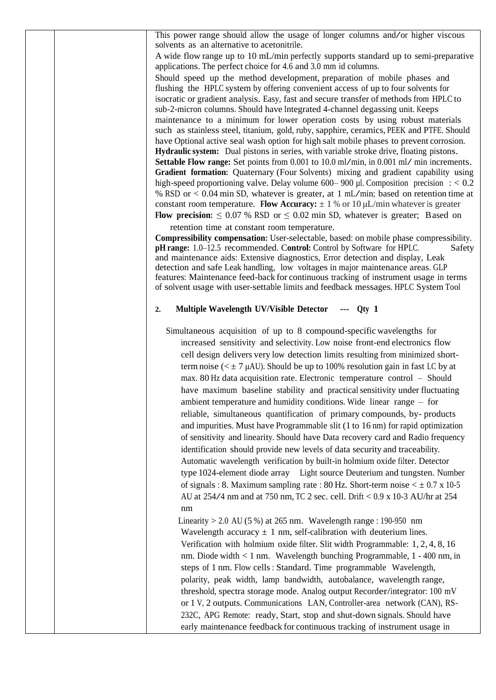This power range should allow the usage of longer columns and/or higher viscous solvents as an alternative to acetonitrile.

A wide flow range up to 10 mL/min perfectly supports standard up to semi-preparative applications. The perfect choice for 4.6 and 3.0 mm id columns.

Should speed up the method development, preparation of mobile phases and flushing the HPLC system by offering convenient access of up to four solvents for isocratic or gradient analysis. Easy, fast and secure transfer of methods from HPLC to sub-2-micron columns. Should have Integrated 4-channel degassing unit. Keeps maintenance to a minimum for lower operation costs by using robust materials such as stainless steel, titanium, gold, ruby, sapphire, ceramics, PEEK and PTFE. Should have Optional active seal wash option for high salt mobile phases to prevent corrosion. **Hydraulic system:** Dual pistons in series, with variable stroke drive, floating pistons. **Settable Flow range:** Set points from 0.001 to 10.0 ml/min, in 0.001 ml/ min increments. **Gradient formation:** Quaternary (Four Solvents) mixing and gradient capability using high-speed proportioning valve. Delay volume  $600-900$  µl. Composition precision :  $< 0.2$ % RSD or <sup>&</sup>lt; 0.04 min SD, whatever is greater, at <sup>1</sup> mL/min; based on retention time at constant room temperature. **Flow Accuracy:**  $\pm$  1 % or 10  $\mu$ L/min whatever is greater **Flow precision:**  $\leq 0.07$  % RSD or  $\leq 0.02$  min SD, whatever is greater; Based on

retention time at constant room temperature.

**Compressibility compensation:** User-selectable, based: on mobile phase compressibility. **pH range:** 1.0–12.5 recommended. Control: Control by Software for HPLC. Safety and maintenance aids: Extensive diagnostics, Error detection and display, Leak detection and safe Leak handling, low voltages in major maintenance areas. GLP features: Maintenance feed-back for continuous tracking of instrument usage in terms of solvent usage with user-settable limits and feedback messages. HPLC System Tool

#### **2. Multiple Wavelength UV/Visible Detector --- Qty 1**

Simultaneous acquisition of up to 8 compound-specific wavelengths for increased sensitivity and selectivity. Low noise front-end electronics flow cell design delivers very low detection limits resulting from minimized shortterm noise ( $\lt$   $\pm$  7  $\mu$ AU). Should be up to 100% resolution gain in fast LC by at max. 80 Hz data acquisition rate. Electronic temperature control – Should have maximum baseline stability and practical sensitivity under fluctuating ambient temperature and humidity conditions. Wide linear range – for reliable, simultaneous quantification of primary compounds, by- products and impurities. Must have Programmable slit (1 to 16 nm) for rapid optimization of sensitivity and linearity. Should have Data recovery card and Radio frequency identification should provide new levels of data security and traceability. Automatic wavelength verification by built-in holmium oxide filter. Detector type 1024-element diode array Light source Deuterium and tungsten. Number of signals : 8. Maximum sampling rate : 80 Hz. Short-term noise  $\lt \pm 0.7$  x 10-5 AU at 254/4 nm and at <sup>750</sup> nm, TC <sup>2</sup> sec. cell. Drift < 0.9 <sup>x</sup> 10-3 AU/hr at <sup>254</sup> nm

Linearity  $> 2.0$  AU (5 %) at 265 nm. Wavelength range : 190-950 nm Wavelength accuracy  $\pm$  1 nm, self-calibration with deuterium lines. Verification with holmium oxide filter. Slit width Programmable: 1, 2, 4, 8, 16 nm. Diode width < 1 nm. Wavelength bunching Programmable, 1 - 400 nm, in steps of 1 nm. Flow cells : Standard. Time programmable Wavelength, polarity, peak width, lamp bandwidth, autobalance, wavelength range, threshold, spectra storage mode. Analog output Recorder/integrator: 100 mV or 1 V, 2 outputs. Communications LAN, Controller-area network (CAN), RS-232C, APG Remote: ready, Start, stop and shut-down signals. Should have early maintenance feedback for continuous tracking of instrument usage in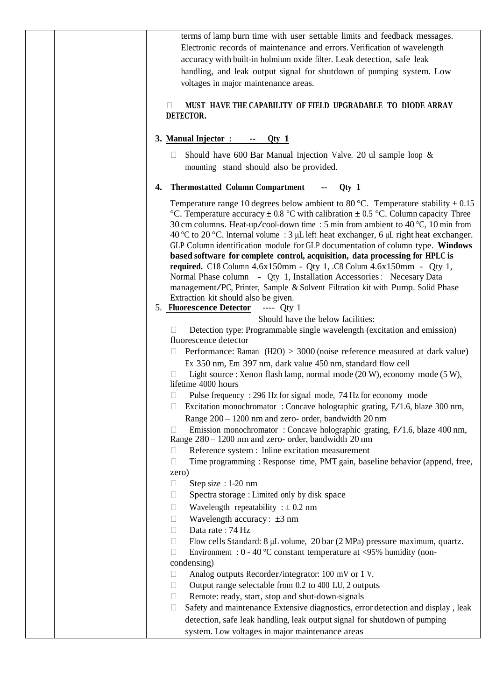| terms of lamp burn time with user settable limits and feedback messages.<br>Electronic records of maintenance and errors. Verification of wavelength<br>accuracy with built-in holmium oxide filter. Leak detection, safe leak<br>handling, and leak output signal for shutdown of pumping system. Low<br>voltages in major maintenance areas.<br>MUST HAVE THE CAPABILITY OF FIELD UPGRADABLE TO DIODE ARRAY<br>П                                                                                                                                                                                                                                                                                                                                                                                                                                                      |
|-------------------------------------------------------------------------------------------------------------------------------------------------------------------------------------------------------------------------------------------------------------------------------------------------------------------------------------------------------------------------------------------------------------------------------------------------------------------------------------------------------------------------------------------------------------------------------------------------------------------------------------------------------------------------------------------------------------------------------------------------------------------------------------------------------------------------------------------------------------------------|
| DETECTOR.                                                                                                                                                                                                                                                                                                                                                                                                                                                                                                                                                                                                                                                                                                                                                                                                                                                               |
| 3. Manual Injector:<br>$-$ Qty 1<br>$\sim$                                                                                                                                                                                                                                                                                                                                                                                                                                                                                                                                                                                                                                                                                                                                                                                                                              |
| Should have 600 Bar Manual Injection Valve. 20 ul sample loop $\&$<br>$\Box$<br>mounting stand should also be provided.                                                                                                                                                                                                                                                                                                                                                                                                                                                                                                                                                                                                                                                                                                                                                 |
| <b>Thermostatted Column Compartment</b><br>$Qty$ 1<br>4.                                                                                                                                                                                                                                                                                                                                                                                                                                                                                                                                                                                                                                                                                                                                                                                                                |
| Temperature range 10 degrees below ambient to 80 °C. Temperature stability $\pm$ 0.15<br>°C. Temperature accuracy $\pm$ 0.8 °C with calibration $\pm$ 0.5 °C. Column capacity Three<br>30 cm columns. Heat-up/cool-down time : 5 min from ambient to 40 °C, 10 min from<br>40 °C to 20 °C. Internal volume : 3 $\mu$ L left heat exchanger, 6 $\mu$ L right heat exchanger.<br>GLP Column identification module for GLP documentation of column type. Windows<br>based software for complete control, acquisition, data processing for HPLC is<br>required. C18 Column 4.6x150mm - Qty 1, .C8 Colum 4.6x150mm - Qty 1,<br>Normal Phase column - Qty 1, Installation Accessories : Necesary Data<br>management/PC, Printer, Sample & Solvent Filtration kit with Pump. Solid Phase<br>Extraction kit should also be given.<br>5. <b>Fluorescence Detector</b> ---- Qty 1 |
| Should have the below facilities:                                                                                                                                                                                                                                                                                                                                                                                                                                                                                                                                                                                                                                                                                                                                                                                                                                       |
| Detection type: Programmable single wavelength (excitation and emission)<br>$\Box$<br>fluorescence detector                                                                                                                                                                                                                                                                                                                                                                                                                                                                                                                                                                                                                                                                                                                                                             |
| Performance: Raman $(H2O) > 3000$ (noise reference measured at dark value)<br>Ex 350 nm, Em 397 nm, dark value 450 nm, standard flow cell<br>Light source : Xenon flash lamp, normal mode (20 W), economy mode (5 W),<br>lifetime 4000 hours                                                                                                                                                                                                                                                                                                                                                                                                                                                                                                                                                                                                                            |
| Pulse frequency: 296 Hz for signal mode, 74 Hz for economy mode<br>$\Box$<br>Excitation monochromator: Concave holographic grating, F/1.6, blaze 300 nm,<br>Range 200 – 1200 nm and zero- order, bandwidth 20 nm<br>Emission monochromator: Concave holographic grating, F/1.6, blaze 400 nm,<br>$\Box$<br>Range 280 - 1200 nm and zero- order, bandwidth 20 nm<br>Reference system : Inline excitation measurement<br>П                                                                                                                                                                                                                                                                                                                                                                                                                                                |
| Time programming: Response time, PMT gain, baseline behavior (append, free,<br>П                                                                                                                                                                                                                                                                                                                                                                                                                                                                                                                                                                                                                                                                                                                                                                                        |
| zero)<br>Step size : 1-20 nm<br>Ш                                                                                                                                                                                                                                                                                                                                                                                                                                                                                                                                                                                                                                                                                                                                                                                                                                       |
| Spectra storage : Limited only by disk space<br>$\Box$                                                                                                                                                                                                                                                                                                                                                                                                                                                                                                                                                                                                                                                                                                                                                                                                                  |
| Wavelength repeatability : $\pm$ 0.2 nm<br>$\Box$                                                                                                                                                                                                                                                                                                                                                                                                                                                                                                                                                                                                                                                                                                                                                                                                                       |
| Wavelength accuracy: $\pm 3$ nm<br>П<br>Data rate: 74 Hz<br>$\Box$                                                                                                                                                                                                                                                                                                                                                                                                                                                                                                                                                                                                                                                                                                                                                                                                      |
| Flow cells Standard: 8 µL volume, 20 bar (2 MPa) pressure maximum, quartz.<br>$\Box$<br>Environment : $0 - 40$ °C constant temperature at <95% humidity (non-<br>П                                                                                                                                                                                                                                                                                                                                                                                                                                                                                                                                                                                                                                                                                                      |
| condensing)<br>Analog outputs Recorder/integrator: 100 mV or 1 V,<br>$\Box$                                                                                                                                                                                                                                                                                                                                                                                                                                                                                                                                                                                                                                                                                                                                                                                             |
| Output range selectable from 0.2 to 400 LU, 2 outputs<br>$\Box$                                                                                                                                                                                                                                                                                                                                                                                                                                                                                                                                                                                                                                                                                                                                                                                                         |
| Remote: ready, start, stop and shut-down-signals<br>$\Box$                                                                                                                                                                                                                                                                                                                                                                                                                                                                                                                                                                                                                                                                                                                                                                                                              |
| Safety and maintenance Extensive diagnostics, error detection and display, leak<br>Ш                                                                                                                                                                                                                                                                                                                                                                                                                                                                                                                                                                                                                                                                                                                                                                                    |
| detection, safe leak handling, leak output signal for shutdown of pumping<br>system. Low voltages in major maintenance areas                                                                                                                                                                                                                                                                                                                                                                                                                                                                                                                                                                                                                                                                                                                                            |
|                                                                                                                                                                                                                                                                                                                                                                                                                                                                                                                                                                                                                                                                                                                                                                                                                                                                         |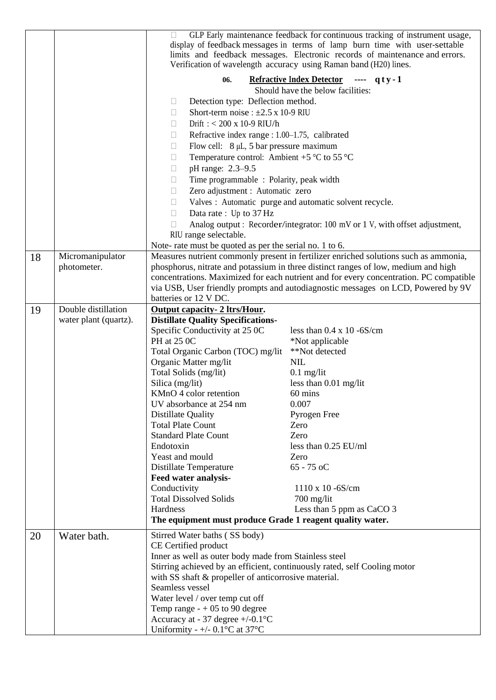|                                                                        |                       | GLP Early maintenance feedback for continuous tracking of instrument usage,<br>$\mathbb{R}^n$<br>display of feedback messages in terms of lamp burn time with user-settable<br>limits and feedback messages. Electronic records of maintenance and errors.<br>Verification of wavelength accuracy using Raman band (H20) lines. |                                                                                        |  |  |
|------------------------------------------------------------------------|-----------------------|---------------------------------------------------------------------------------------------------------------------------------------------------------------------------------------------------------------------------------------------------------------------------------------------------------------------------------|----------------------------------------------------------------------------------------|--|--|
|                                                                        |                       | Refractive Index Detector ---- q t y - 1<br>06.                                                                                                                                                                                                                                                                                 |                                                                                        |  |  |
|                                                                        |                       | Should have the below facilities:                                                                                                                                                                                                                                                                                               |                                                                                        |  |  |
|                                                                        |                       | Detection type: Deflection method.<br>$\Box$                                                                                                                                                                                                                                                                                    |                                                                                        |  |  |
|                                                                        |                       | Short-term noise : $\pm 2.5$ x 10-9 RIU<br>П                                                                                                                                                                                                                                                                                    |                                                                                        |  |  |
|                                                                        |                       | Drift: $< 200 \times 10$ -9 RIU/h<br>П                                                                                                                                                                                                                                                                                          |                                                                                        |  |  |
|                                                                        |                       | Refractive index range : 1.00-1.75, calibrated<br>$\begin{array}{ccc} \hline \end{array}$                                                                                                                                                                                                                                       |                                                                                        |  |  |
|                                                                        |                       | Flow cell: $8 \mu L$ , 5 bar pressure maximum<br>П                                                                                                                                                                                                                                                                              |                                                                                        |  |  |
|                                                                        |                       | Temperature control: Ambient +5 $\mathrm{^{\circ}C}$ to 55 $\mathrm{^{\circ}C}$<br>П                                                                                                                                                                                                                                            |                                                                                        |  |  |
|                                                                        |                       | pH range: 2.3-9.5<br>$\begin{array}{ccc} \hline \end{array}$                                                                                                                                                                                                                                                                    |                                                                                        |  |  |
|                                                                        |                       | Time programmable : Polarity, peak width<br>$\Box$                                                                                                                                                                                                                                                                              |                                                                                        |  |  |
|                                                                        |                       | Zero adjustment : Automatic zero<br>П                                                                                                                                                                                                                                                                                           |                                                                                        |  |  |
|                                                                        |                       | $\Box$                                                                                                                                                                                                                                                                                                                          | Valves : Automatic purge and automatic solvent recycle.                                |  |  |
|                                                                        |                       | Data rate: Up to 37 Hz<br>$\Box$                                                                                                                                                                                                                                                                                                |                                                                                        |  |  |
|                                                                        |                       | П                                                                                                                                                                                                                                                                                                                               | Analog output : Recorder/integrator: 100 mV or 1 V, with offset adjustment,            |  |  |
|                                                                        |                       | RIU range selectable.                                                                                                                                                                                                                                                                                                           |                                                                                        |  |  |
|                                                                        |                       | Note- rate must be quoted as per the serial no. 1 to 6.                                                                                                                                                                                                                                                                         |                                                                                        |  |  |
| 18                                                                     | Micromanipulator      |                                                                                                                                                                                                                                                                                                                                 | Measures nutrient commonly present in fertilizer enriched solutions such as ammonia,   |  |  |
|                                                                        | photometer.           | phosphorus, nitrate and potassium in three distinct ranges of low, medium and high                                                                                                                                                                                                                                              |                                                                                        |  |  |
|                                                                        |                       |                                                                                                                                                                                                                                                                                                                                 | concentrations. Maximized for each nutrient and for every concentration. PC compatible |  |  |
|                                                                        |                       | via USB, User friendly prompts and autodiagnostic messages on LCD, Powered by 9V                                                                                                                                                                                                                                                |                                                                                        |  |  |
|                                                                        |                       | batteries or 12 V DC.                                                                                                                                                                                                                                                                                                           |                                                                                        |  |  |
| 19                                                                     | Double distillation   | <b>Output capacity- 2 ltrs/Hour.</b>                                                                                                                                                                                                                                                                                            |                                                                                        |  |  |
|                                                                        | water plant (quartz). | <b>Distillate Quality Specifications-</b>                                                                                                                                                                                                                                                                                       |                                                                                        |  |  |
|                                                                        |                       | Specific Conductivity at 25 0C                                                                                                                                                                                                                                                                                                  | less than $0.4 \times 10 - 6S/cm$                                                      |  |  |
|                                                                        |                       | PH at 25 0C                                                                                                                                                                                                                                                                                                                     | *Not applicable                                                                        |  |  |
|                                                                        |                       | Total Organic Carbon (TOC) mg/lit                                                                                                                                                                                                                                                                                               | **Not detected                                                                         |  |  |
|                                                                        |                       | Organic Matter mg/lit                                                                                                                                                                                                                                                                                                           | <b>NIL</b>                                                                             |  |  |
|                                                                        |                       | Total Solids (mg/lit)                                                                                                                                                                                                                                                                                                           | $0.1$ mg/lit                                                                           |  |  |
|                                                                        |                       | Silica (mg/lit)                                                                                                                                                                                                                                                                                                                 | less than $0.01$ mg/lit                                                                |  |  |
|                                                                        |                       | KMnO 4 color retention                                                                                                                                                                                                                                                                                                          | 60 mins                                                                                |  |  |
|                                                                        |                       | UV absorbance at 254 nm                                                                                                                                                                                                                                                                                                         | 0.007                                                                                  |  |  |
|                                                                        |                       | <b>Distillate Quality</b>                                                                                                                                                                                                                                                                                                       | Pyrogen Free                                                                           |  |  |
|                                                                        |                       | <b>Total Plate Count</b>                                                                                                                                                                                                                                                                                                        | Zero                                                                                   |  |  |
|                                                                        |                       | <b>Standard Plate Count</b>                                                                                                                                                                                                                                                                                                     | Zero                                                                                   |  |  |
|                                                                        |                       | Endotoxin                                                                                                                                                                                                                                                                                                                       | less than 0.25 EU/ml                                                                   |  |  |
|                                                                        |                       | Yeast and mould                                                                                                                                                                                                                                                                                                                 | Zero                                                                                   |  |  |
|                                                                        |                       | Distillate Temperature                                                                                                                                                                                                                                                                                                          | $65 - 75$ oC                                                                           |  |  |
|                                                                        |                       | Feed water analysis-<br>Conductivity                                                                                                                                                                                                                                                                                            | $1110 \times 10 - 6S/cm$                                                               |  |  |
|                                                                        |                       | <b>Total Dissolved Solids</b>                                                                                                                                                                                                                                                                                                   | $700$ mg/lit                                                                           |  |  |
|                                                                        |                       | Hardness                                                                                                                                                                                                                                                                                                                        | Less than 5 ppm as CaCO 3                                                              |  |  |
|                                                                        |                       | The equipment must produce Grade 1 reagent quality water.                                                                                                                                                                                                                                                                       |                                                                                        |  |  |
|                                                                        |                       |                                                                                                                                                                                                                                                                                                                                 |                                                                                        |  |  |
| 20                                                                     | Water bath.           | Stirred Water baths (SS body)                                                                                                                                                                                                                                                                                                   |                                                                                        |  |  |
| CE Certified product                                                   |                       |                                                                                                                                                                                                                                                                                                                                 |                                                                                        |  |  |
|                                                                        |                       | Inner as well as outer body made from Stainless steel                                                                                                                                                                                                                                                                           |                                                                                        |  |  |
|                                                                        |                       | Stirring achieved by an efficient, continuously rated, self Cooling motor                                                                                                                                                                                                                                                       |                                                                                        |  |  |
|                                                                        |                       | with SS shaft & propeller of anticorrosive material.                                                                                                                                                                                                                                                                            |                                                                                        |  |  |
|                                                                        |                       | Seamless vessel                                                                                                                                                                                                                                                                                                                 |                                                                                        |  |  |
|                                                                        |                       | Water level / over temp cut off                                                                                                                                                                                                                                                                                                 |                                                                                        |  |  |
| Temp range $- +05$ to 90 degree<br>Accuracy at - 37 degree $+/-0.1$ °C |                       |                                                                                                                                                                                                                                                                                                                                 |                                                                                        |  |  |
|                                                                        |                       | Uniformity - +/- 0.1°C at 37°C                                                                                                                                                                                                                                                                                                  |                                                                                        |  |  |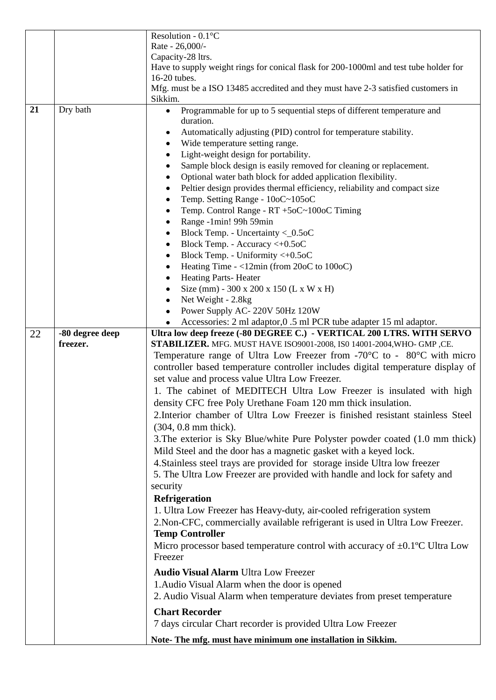|    |                             | Resolution - 0.1°C                                                                                                                                                            |  |  |
|----|-----------------------------|-------------------------------------------------------------------------------------------------------------------------------------------------------------------------------|--|--|
|    |                             | Rate - 26,000/-                                                                                                                                                               |  |  |
|    |                             | Capacity-28 ltrs.                                                                                                                                                             |  |  |
|    |                             | Have to supply weight rings for conical flask for 200-1000ml and test tube holder for                                                                                         |  |  |
|    |                             | 16-20 tubes.                                                                                                                                                                  |  |  |
|    |                             | Mfg. must be a ISO 13485 accredited and they must have 2-3 satisfied customers in                                                                                             |  |  |
|    |                             | Sikkim.                                                                                                                                                                       |  |  |
| 21 | Dry bath                    | Programmable for up to 5 sequential steps of different temperature and<br>$\bullet$                                                                                           |  |  |
|    |                             | duration.                                                                                                                                                                     |  |  |
|    |                             | Automatically adjusting (PID) control for temperature stability.<br>$\bullet$                                                                                                 |  |  |
|    |                             | Wide temperature setting range.<br>٠                                                                                                                                          |  |  |
|    |                             | Light-weight design for portability.                                                                                                                                          |  |  |
|    |                             | Sample block design is easily removed for cleaning or replacement.                                                                                                            |  |  |
|    |                             | Optional water bath block for added application flexibility.<br>٠                                                                                                             |  |  |
|    |                             | Peltier design provides thermal efficiency, reliability and compact size<br>٠                                                                                                 |  |  |
|    |                             | Temp. Setting Range - 10oC~105oC                                                                                                                                              |  |  |
|    |                             | Temp. Control Range - RT +5oC~100oC Timing                                                                                                                                    |  |  |
|    |                             | Range -1min! 99h 59min<br>٠                                                                                                                                                   |  |  |
|    |                             | Block Temp. - Uncertainty $<$ 0.5oC<br>٠                                                                                                                                      |  |  |
|    |                             | Block Temp. - Accuracy <+0.5oC<br>٠                                                                                                                                           |  |  |
|    |                             | Block Temp. - Uniformity <+0.5oC<br>٠                                                                                                                                         |  |  |
|    |                             | Heating Time - <12min (from 20oC to 100oC)                                                                                                                                    |  |  |
|    |                             | <b>Heating Parts-Heater</b>                                                                                                                                                   |  |  |
|    |                             | Size (mm) - 300 x 200 x 150 (L x W x H)<br>٠                                                                                                                                  |  |  |
|    |                             | Net Weight - 2.8kg<br>$\bullet$                                                                                                                                               |  |  |
|    |                             | Power Supply AC-220V 50Hz 120W                                                                                                                                                |  |  |
|    |                             | ٠                                                                                                                                                                             |  |  |
|    |                             | Accessories: 2 ml adaptor, 0 .5 ml PCR tube adapter 15 ml adaptor.<br>Ultra low deep freeze (-80 DEGREE C.) - VERTICAL 200 LTRS. WITH SERVO                                   |  |  |
| 22 | -80 degree deep<br>freezer. | STABILIZER. MFG. MUST HAVE ISO9001-2008, ISO 14001-2004, WHO- GMP , CE.                                                                                                       |  |  |
|    |                             |                                                                                                                                                                               |  |  |
|    |                             | Temperature range of Ultra Low Freezer from -70 $\degree$ C to - 80 $\degree$ C with micro<br>controller based temperature controller includes digital temperature display of |  |  |
|    |                             |                                                                                                                                                                               |  |  |
|    |                             | set value and process value Ultra Low Freezer.                                                                                                                                |  |  |
|    |                             | 1. The cabinet of MEDITECH Ultra Low Freezer is insulated with high                                                                                                           |  |  |
|    |                             | density CFC free Poly Urethane Foam 120 mm thick insulation.                                                                                                                  |  |  |
|    |                             | 2. Interior chamber of Ultra Low Freezer is finished resistant stainless Steel                                                                                                |  |  |
|    |                             | $(304, 0.8 \text{ mm thick}).$                                                                                                                                                |  |  |
|    |                             | 3. The exterior is Sky Blue/white Pure Polyster powder coated (1.0 mm thick)                                                                                                  |  |  |
|    |                             | Mild Steel and the door has a magnetic gasket with a keyed lock.                                                                                                              |  |  |
|    |                             | 4. Stainless steel trays are provided for storage inside Ultra low freezer                                                                                                    |  |  |
|    |                             |                                                                                                                                                                               |  |  |
|    |                             | 5. The Ultra Low Freezer are provided with handle and lock for safety and                                                                                                     |  |  |
|    |                             | security                                                                                                                                                                      |  |  |
|    |                             | Refrigeration                                                                                                                                                                 |  |  |
|    |                             | 1. Ultra Low Freezer has Heavy-duty, air-cooled refrigeration system                                                                                                          |  |  |
|    |                             | 2. Non-CFC, commercially available refrigerant is used in Ultra Low Freezer.                                                                                                  |  |  |
|    |                             | <b>Temp Controller</b>                                                                                                                                                        |  |  |
|    |                             | Micro processor based temperature control with accuracy of $\pm 0.1$ °C Ultra Low                                                                                             |  |  |
|    |                             | Freezer                                                                                                                                                                       |  |  |
|    |                             | <b>Audio Visual Alarm Ultra Low Freezer</b>                                                                                                                                   |  |  |
|    |                             | 1. Audio Visual Alarm when the door is opened                                                                                                                                 |  |  |
|    |                             |                                                                                                                                                                               |  |  |
|    |                             | 2. Audio Visual Alarm when temperature deviates from preset temperature                                                                                                       |  |  |
|    |                             |                                                                                                                                                                               |  |  |
|    |                             | <b>Chart Recorder</b>                                                                                                                                                         |  |  |
|    |                             | 7 days circular Chart recorder is provided Ultra Low Freezer                                                                                                                  |  |  |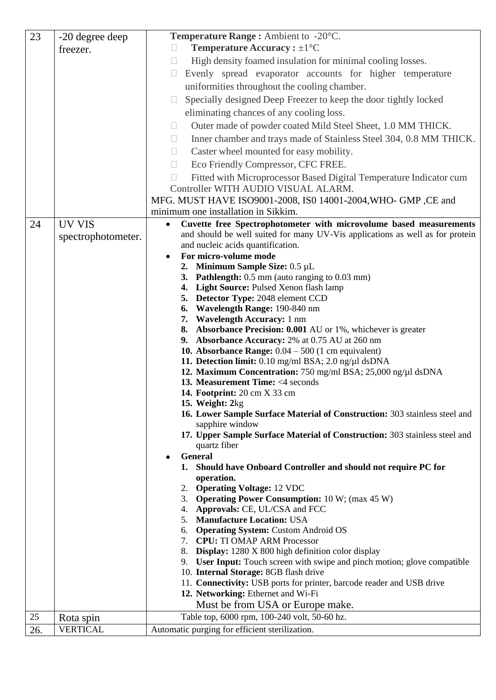| 23  | -20 degree deep              | Temperature Range: Ambient to -20°C.                                                                                |  |
|-----|------------------------------|---------------------------------------------------------------------------------------------------------------------|--|
|     | freezer.                     | <b>Temperature Accuracy:</b> $\pm 1^{\circ}C$                                                                       |  |
|     |                              | High density foamed insulation for minimal cooling losses.<br>$\Box$                                                |  |
|     |                              | Evenly spread evaporator accounts for higher temperature<br>$\Box$                                                  |  |
|     |                              | uniformities throughout the cooling chamber.                                                                        |  |
|     |                              | Specially designed Deep Freezer to keep the door tightly locked<br>$\Box$                                           |  |
|     |                              | eliminating chances of any cooling loss.                                                                            |  |
|     |                              |                                                                                                                     |  |
|     |                              | Outer made of powder coated Mild Steel Sheet, 1.0 MM THICK.<br>$\Box$                                               |  |
|     |                              | Inner chamber and trays made of Stainless Steel 304, 0.8 MM THICK.<br>$\begin{array}{c} \hline \end{array}$         |  |
|     |                              | Caster wheel mounted for easy mobility.<br>$\Box$                                                                   |  |
|     |                              | Eco Friendly Compressor, CFC FREE.<br>$\Box$                                                                        |  |
|     |                              | Fitted with Microprocessor Based Digital Temperature Indicator cum                                                  |  |
|     |                              | Controller WITH AUDIO VISUAL ALARM.                                                                                 |  |
|     |                              | MFG. MUST HAVE ISO9001-2008, ISO 14001-2004, WHO- GMP, CE and                                                       |  |
|     |                              | minimum one installation in Sikkim.                                                                                 |  |
| 24  | <b>UV VIS</b>                | Cuvette free Spectrophotometer with microvolume based measurements<br>٠                                             |  |
|     | spectrophotometer.           | and should be well suited for many UV-Vis applications as well as for protein<br>and nucleic acids quantification.  |  |
|     |                              | For micro-volume mode<br>$\bullet$                                                                                  |  |
|     |                              | 2. Minimum Sample Size: $0.5 \mu L$                                                                                 |  |
|     |                              | 3. Pathlength: 0.5 mm (auto ranging to 0.03 mm)                                                                     |  |
|     |                              | 4. Light Source: Pulsed Xenon flash lamp                                                                            |  |
|     |                              | 5. Detector Type: 2048 element CCD                                                                                  |  |
|     |                              | Wavelength Range: 190-840 nm<br>6.                                                                                  |  |
|     |                              | <b>Wavelength Accuracy:</b> 1 nm<br>7.                                                                              |  |
|     |                              | Absorbance Precision: 0.001 AU or 1%, whichever is greater<br>8.<br>9. Absorbance Accuracy: 2% at 0.75 AU at 260 nm |  |
|     |                              | 10. Absorbance Range: $0.04 - 500$ (1 cm equivalent)                                                                |  |
|     |                              | 11. Detection limit: 0.10 mg/ml BSA; 2.0 ng/µl dsDNA                                                                |  |
|     |                              | 12. Maximum Concentration: 750 mg/ml BSA; 25,000 ng/µl dsDNA                                                        |  |
|     |                              | 13. Measurement Time: <4 seconds                                                                                    |  |
|     |                              | <b>14. Footprint:</b> 20 cm X 33 cm                                                                                 |  |
|     |                              | 15. Weight: 2kg                                                                                                     |  |
|     |                              | 16. Lower Sample Surface Material of Construction: 303 stainless steel and<br>sapphire window                       |  |
|     |                              | 17. Upper Sample Surface Material of Construction: 303 stainless steel and                                          |  |
|     |                              | quartz fiber                                                                                                        |  |
|     |                              | General<br>$\bullet$                                                                                                |  |
|     |                              | Should have Onboard Controller and should not require PC for<br>1.                                                  |  |
|     |                              | operation.                                                                                                          |  |
|     |                              | <b>Operating Voltage: 12 VDC</b><br>2.                                                                              |  |
|     |                              | <b>Operating Power Consumption:</b> 10 W; (max 45 W)<br>3.<br>Approvals: CE, UL/CSA and FCC<br>4.                   |  |
|     |                              | <b>Manufacture Location: USA</b><br>5.                                                                              |  |
|     |                              | <b>Operating System: Custom Android OS</b><br>6.                                                                    |  |
|     |                              | 7. CPU: TI OMAP ARM Processor                                                                                       |  |
|     |                              | Display: 1280 X 800 high definition color display<br>8.                                                             |  |
|     |                              | 9. User Input: Touch screen with swipe and pinch motion; glove compatible                                           |  |
|     |                              | 10. Internal Storage: 8GB flash drive                                                                               |  |
|     |                              | 11. Connectivity: USB ports for printer, barcode reader and USB drive<br>12. Networking: Ethernet and Wi-Fi         |  |
|     |                              | Must be from USA or Europe make.                                                                                    |  |
| 25  |                              | Table top, 6000 rpm, 100-240 volt, 50-60 hz.                                                                        |  |
| 26. | Rota spin<br><b>VERTICAL</b> | Automatic purging for efficient sterilization.                                                                      |  |
|     |                              |                                                                                                                     |  |